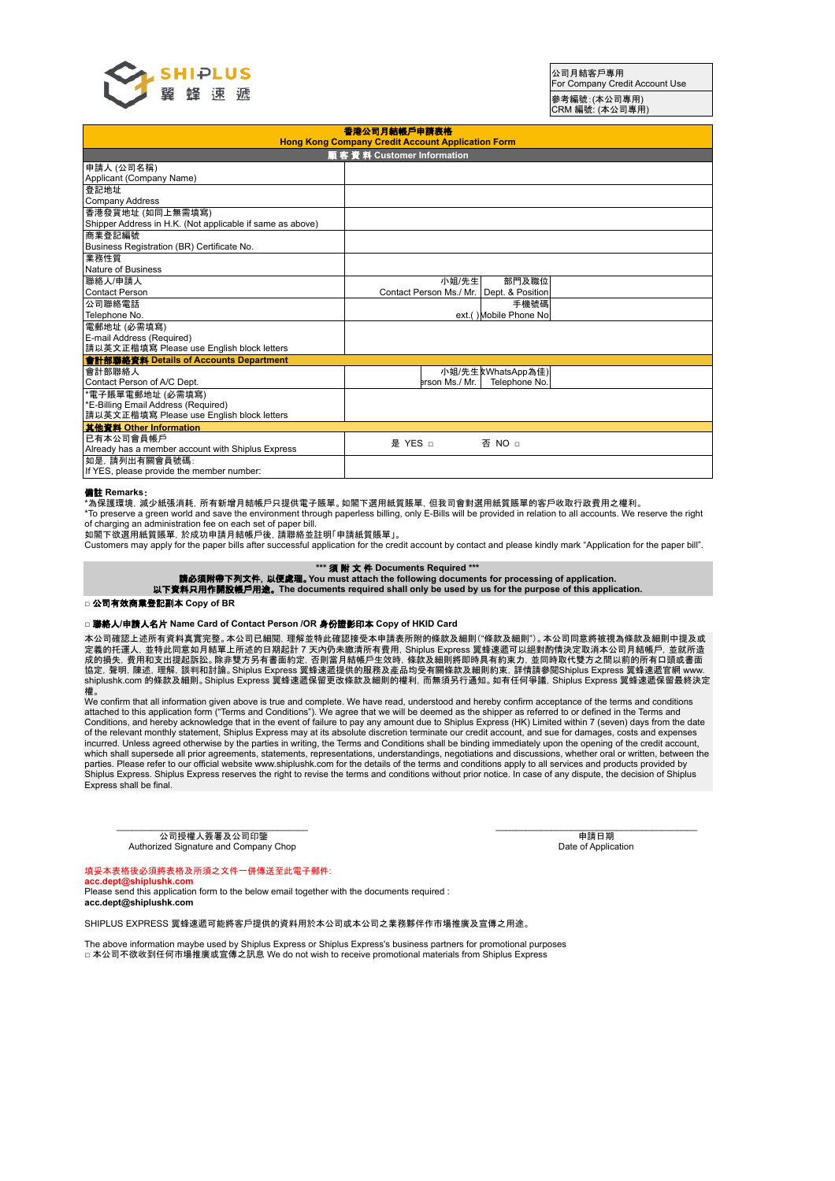

#### 香港公司月結帳戶申請表格 **Hong Kong Company Credit Account Application Form 顧客資料 Customer Information** 申請人 (公司名稱) Applicant (Company Name) 登記地址 Company Address 香港發貨地址 (如同上無需填寫) Shipper Address in H.K. (Not applicable if same as above) 商業登記編號 Business Registration (BR) Certificate No. 業務性質 Nature of Business 聯絡人/申請人 Contact Person 小姐/先生 Contact Person Ms./ Mr. 部門及職位 Dept. & Position 公司聯絡電話 Telephone No. 2002. The state of the state of the state of the state of the state of the state of the state of the state of the state of the state of the state of the state of the state of the state of the state of the sta 手機號碼 Mobile Phone No 電郵地址 (必需填寫) E-mail Address (Required) 請以英文正楷填寫 Please use English block letters 會計部聯絡資料 **Details of Accounts Department** 會計部聯絡人 Contact Person of A/C Dept. /小姐/先生|xWhatsApp為佳)<br>|-<br>| prson Ms./ Mr. | Telephone No. <u>\*\*\*\*\*\*\*\*\*\*\*\*\*\*\*\*\*\*\*\*\*\*\*\*\*\*\*\*\*\*\*\*\*\*</u><br>'雷子賬單雷郵地址 (必需填寫) \*E-Billing Email Address (Required) 請以英文正楷填寫 Please use English block letters 其他資料 **Other Information** 已有本公司會員帳戶 ヒ有本公可晋貝帳尸<br>Already has a member account with Shiplus Express 是 YES □ 否 NO □ 如是,請列出有關會員號碼: If YES, please provide the member number:

## 備註 **Remarks**:

\*為保護環境,減少紙張消耗,所有新增月結帳戶只提供電子賬單。如閣下選用紙質賬單,但我司會對選用紙質賬單的客戶收取行政費用之權利。

\*To preserve a green world and save the environment through paperless billing, only E-Bills will be provided in relation to all accounts. We reserve the right of charging an administration fee on each set of paper bill.

如閣下欲選用紙質賬單,於成功申請月結帳戶後,請聯絡並註明「申請紙質賬單」。

Customers may apply for the paper bills after successful application for the credit account by contact and please kindly mark "Application for the paper bill".

\*\*\* 須 附 文 件 Documents Required \*\*\*<br>請必須附帶下列文件, 以便處理。You must attach the following documents for processing of application.<br>.以下資料只用作開設帳戶用途。The documents required shall only be used by us for the purpose of this application.

#### **□** 公司有效商業登記副本 **Copy of BR**

### **□** 聯絡人**/**申請人名片 **Name Card of Contact Person /OR** 身份證影印本 **Copy of HKID Card**

本公司確認上述所有資料真實完整。本公司已細閱,理解並特此確認接受本申請表所附的條款及細則("條款及細則")。本公司同意將被視為條款及細則中提及或 定義的托運人, 並特此同意如月結單上所述的日期起計 7 天內仍未繳清所有費用, Shiplus Express 翼蜂速遞可以絕對酌情決定取消本公司月結帳戶, 並就所造<br>成的損失, 費用和支出提起訴訟。除非雙方另有書面約定, 否則當月結帳戶生效時, 條款及細則將即時具有約束力, 並同時取代雙方之間以前的所有口頭或書面<br>協定, 聲明, 陳述, 理解, 談判和討論。Shiplus Express 翼蜂速遞提供的服務及產品均受有關條款及細則約束, shiplushk.com 的條款及細則。Shiplus Express 翼蜂速遞保留更改條款及細則的權利, 而無須另行通知。如有任何爭議, Shiplus Express 翼蜂速遞保留最終決定 權。

We confirm that all information given above is true and complete. We have read, understood and hereby confirm acceptance of the terms and conditions attached to this application form ("Terms and Conditions"). We agree that we will be deemed as the shipper as referred to or defined in the Terms and Conditions, and hereby acknowledge that in the event of failure to pay any amount due to Shiplus Express (HK) Limited within 7 (seven) days from the date<br>of the relevant monthly statement, Shiplus Express may at its absolu incurred. Unless agreed otherwise by the parties in writing, the Terms and Conditions shall be binding immediately upon the opening of the credit account, which shall supersede all prior agreements, statements, representations, understandings, negotiations and discussions, whether oral or written, between the<br>parties. Please refer to our official website www.shiplushk.com fo Shiplus Express. Shiplus Express reserves the right to revise the terms and conditions without prior notice. In case of any dispute, the decision of Shiplus Express shall be final.

\_\_\_\_\_\_\_\_\_\_\_\_\_\_\_\_\_\_\_\_\_\_\_\_\_\_\_\_\_\_\_\_\_\_\_\_\_\_ 公司授權人簽署及公司印鑒 Authorized Signature and Company Chop

申請日期 Date of Application

# 填妥本表格後必須將表格及所須之文件一併傳送至此電子郵件:

**acc.dept@shiplushk.com** Please send this application form to the below email together with the documents required : **acc.dept@shiplushk.com**

SHIPLUS EXPRESS 翼蜂速遞可能將客戶提供的資料用於本公司或本公司之業務夥伴作市場推廣及宣傳之用途。

The above information maybe used by Shiplus Express or Shiplus Express's business partners for promotional purposes □本公司不欲收到任何市場推廣或宣傳之訊息 We do not wish to receive promotional materials from Shiplus Express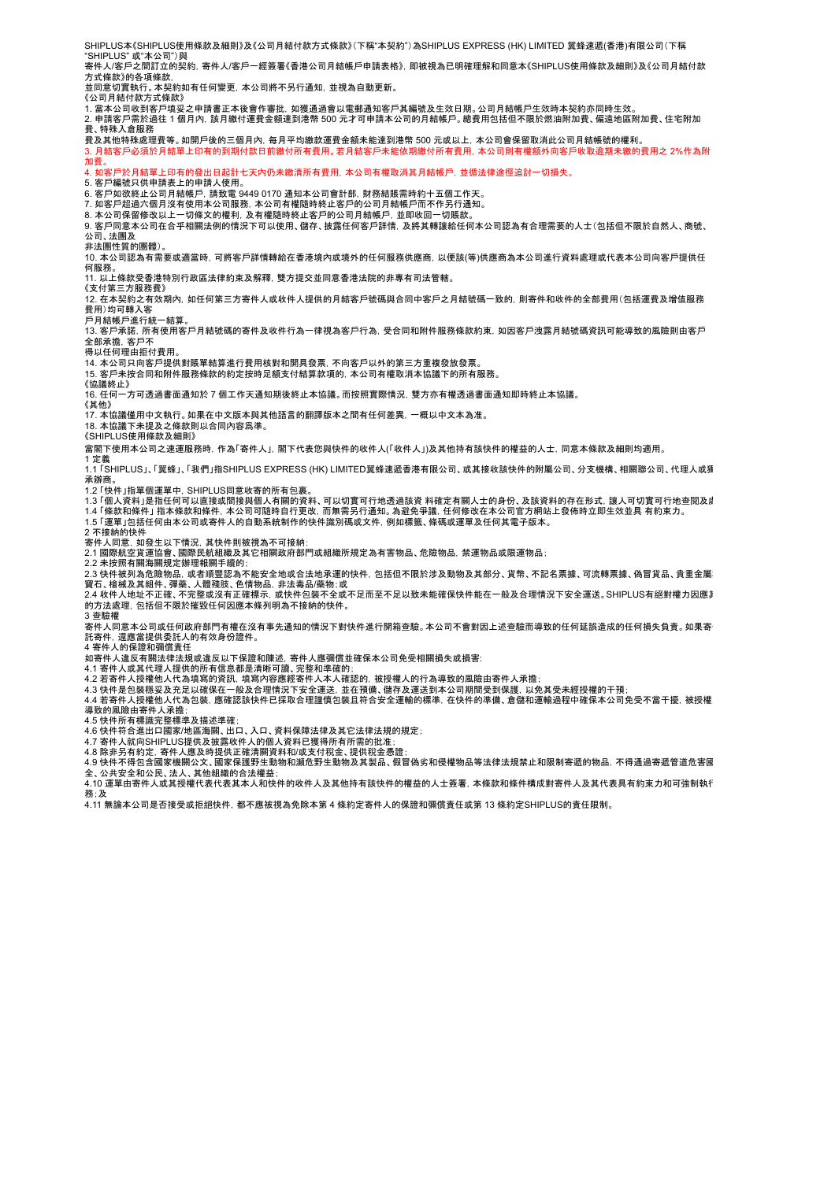SHIPLUS本《SHIPLUS使用條款及細則》及《公司月結付款方式條款》(下稱"本契約")為SHIPLUS EXPRESS (HK) LIMITED 翼蜂㏿遞(香港)有限公司(下稱 。… <u>Loon, worm Loop</u><br>'SHIPLUS" 或"本公司") 與 寄件人/客戶之間訂立的契約,寄件人/客戶一經簽署《香港公司月結帳戶申請表格》,即被視為已明確理解和同意本《SHIPLUS使用條款及細則》及《公司月結付款 方式條款》的各項條款, 。<br>並同意切實執行。本契約如有任何變更, 本公司將不另行通知, 並視為自動更新。 《公司月結付款方式條款》 1. 當本公司收到客戶填妥之申請書正本後會作審批,如獲通過會以電郵通知客戶其編號及生效日期。公司月結帳戶生效時本契約亦同時生效。 2. 申請客戶需於過往 1 個月內,該月繳付運費金額達到港幣 500 元才可申請本公司的月結帳戶。總費用包括但不限於燃油附加費、偏遠地區附加費、住宅附加 費、特殊入倉服務 費及其他特殊處理費等。如開戶後的三個月內,每月平均繳款運費金額未能達到港幣 500 元或以上,本公司會保留取消此公司月結帳號的權利。 3. 月結客戶必須於月結單上印有的到期付款日前繳付所有費用。若月結客戶未能依期繳付所有費用,本公司則有權額外向客戶收取逾期未繳的費用之 2%作為附 加費。 4. 如客戶於月結單上印有的發出日起計七天內仍未繳清所有費用,本公司有權取消其月結帳戶,並循法律途徑追討一切損失。 5. 客戶編號只供申請表上的申請人使用。 6. 客戶如欲終止公司月結帳戶,請致電 9449 0170 通知本公司會計部,財務結賬需時約十五個工作天。 7. 如客戶超過六個月沒有使用本公司服務,本公司有權隨時終止客戶的公司月結帳戶而不作另行通知。 8. 本公司保留修改以上一切條文的權利,及有權隨時終止客戶的公司月結帳戶,並即收回一切賬款。 9. 客戶同意本公司在合乎相關法例的情況下可以使用、儲存、披露任何客戶詳情,及將其轉讓給任何本公司認為有合理需要的人士(包括但不限於自然人、商號、 公司、法團及 非法團性質的團體) 10. 本公司認為有需要或適當時,可將客戶詳情轉給在香港境內或境外的任何服務供應商,以便該(等)供應商為本公司進行資料處理或代表本公司向客戶提供任 何服務。 11. 以上條款受香港特別行政區法律約束及解釋,雙方提交並同意香港法院的非專有司法管轄。 《支付第三方服務費》 12. 在本契約之有效期內,如任何第三方寄件人或收件人提供的月結客戶號碼與合同中客戶之月結號碼一致的,則寄件和收件的全部費用(包括運費及增值服務 費用)均可轉入客 戶月結帳戶進行統一結算。 13. 客戶承諾,所有使用客戶月結號碼的寄件及收件行為一律視為客戶行為,受合同和附件服務條款約束,如因客戶洩露月結號碼資訊可能導致的風險則由客戶 全部承擔,客戶不 一)……<br>得以任何理由拒付費用 14. 本公司只向客戶提供對賬單結算進行費用核對和開具發票,不向客戶以外的第三方重複發放發票。 15. 客戶未按合同和附件服務條款的約定按時足額支付結算款項的,本公司有權取消本協議下的所有服務。 《協議終止》 16. 任何一方可透過書面通知於 7 個工作天通知期後終止本協議。而按照實際情況,雙方亦有權透過書面通知即時終止本協議。 《其他》 17. 本協議僅用中文執行。如果在中文版本與其他語言的翻譯版本之間有任何差異,一概以中文本為准。 18. 本協議下未提及之條款則以合同內容爲準。 《SHIPLUS使用條款及細則》 當閣下使用本公司之㏿運服務時,作為「寄件人」,閣下代表您與快件的收件人(「收件人」)及其他持有該快件的權益的人士,同意本條款及細則均適用。 1 定義<br>1.1 「SHIPLUS」、「翼蜂」、「我們」指SHIPLUS EXPRESS (HK) LIMITED翼蜂速遞香港有限公司、或其接收該快件的附屬公司、分支機構、相關聯公司、代理人或獨 承辦商 ,,。<br>1.2 「快性」指留個運留由 SHIPLUS同音收客的所有句專 」 1.3 「個人資料」是指任何可以直接或間接與個人有關的資料、可以切實可行地透過該資 料確定有關人士的身份、及該資料的存在形式,讓人可切實可行地查閱及處理。 1.4 「條款和條件」 指本條款和條件, 本公司可隨時自行更改, 而無需另行通知。為避免爭議, 任何修改在本公司官方網站上發佈時立即生效並具 有約束力。<br>1.5 「運單」包括任何由本公司或寄件人的自動系統制作的快件識別碼或文件, 例如標籤、條碼或運單及任何其電子版本。 2 不接納的快件 -<br>寄件人同意, 如發生以下情況, 其快件則被視為不可接納 2.1 國際航空貨運協會、國際民航組織及其它相關政府部門或組織所規定為有害物品、危險物品,禁運物品或限運物品; 2.2 未按照有關海關規定辦理報關手續的; 2.3 快件被列為危險物品, 或者順豐認為不能安全地或合法地承運的快件, 包括但不限於涉及動物及其部分、貨幣、不記名票據、可流轉票據、偽冒貨品、貴重金屬 寶石、 槍械及其組件、彈藥、人體殘肢、色情物品, 非法毒品/藥物 ;或<br>2.4 收件人地址不正確、不完整或沒有正確標示, 或快件包裝不全或不足而至不足以致未能確保快件能在一般及合理情況下安全運送。SHIPLUS有絕對權力因應其 的方法處理,包括但不限於摧毀任何因應本條列明為不接納的快件。 3 查驗權 。<br>19 一次,同意本公司或任何政府部門有權在沒有事先通知的情況下對快件進行開箱查驗。本公司不會對因上述查驗而導致的任何延誤造成的任何損失負責。如果寄 託寄件,還應當提供委託人的有效身份證件。 4 寄件人的保證和彌償責任 如寄件人違反有關法律法規或違反以下保證和陳述,寄件人應彌償並確保本公司免受相關損失或損害: 4.1 寄件人或其代理人提供的所有信息都是清晰可讀、完整和準確的; 4.2 若寄件人授權他人代為填寫的資訊, 填寫內容應經寄件人本人確認的, 被授權人的行為導致的風險由寄件人承擔;<br>4.3 快件是包裝穩妥及充足以確保在一般及合理情況下安全運送, 並在預備、儲存及運送到本公司期間受到保護, 以免其受未經授權的干預; 4.4 若寄件人授權他人代為包裝,應確認該快件已採取合理謹慎包裝且符合安全運輸的標準,在快件的準備、倉儲和運輸過程中確保本公司免受不當干擾,被授權人行為 導致的風險由寄件人承擔; 4.5 快件所有標識完整標準及描述準確;<br>4.6 快件符合進出口國家/地區海關、出口、入口、資料保障法律及其它法律法規的規定;<br>4.7 寄件人就向SHIPLUS提供及披露收件人的個人資料已獲得所有所需的批准; 4.8 除非另有約定, 寄件人應及時提供正確清關資料和/或支付稅金、提供稅金憑證;<br>4.9 快件不得包含國家機關公文、國家保護野生動物和瀕危野生動物及其製品、假冒偽劣和侵權物品等法律法規禁止和限制寄遞的物品, 不得通過寄遞管道危害國 …。<br>《六十五》 19日出众杨洞五六、出众杨逵为主场 。<br>4.10 運單由寄件人或其授權代表代表其本人和快件的收件人及其他持有該快件的權益的人士簽署, 本條款和條件構成對寄件人及其代表具有約束力和可強制執? 務;及

。。。。<br>4.11 無論本公司是否接受或拒絕快件, 都不應被視為免除本第 4 條約定寄件人的保證和彌償青任或第 13 條約定SHIPLUS的青任限制。